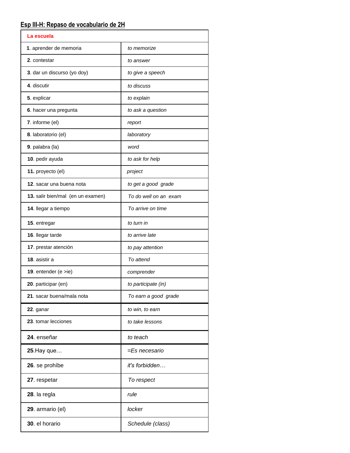## **Esp III-H: Repaso de vocabulario de 2H**

| La escuela                        |                       |
|-----------------------------------|-----------------------|
| 1. aprender de memoria            | to memorize           |
| 2. contestar                      | to answer             |
| 3. dar un discurso (yo doy)       | to give a speech      |
| 4. discutir                       | to discuss            |
| 5. explicar                       | to explain            |
| 6. hacer una pregunta             | to ask a question     |
| 7. informe (el)                   | report                |
| 8. laboratorio (el)               | laboratory            |
| 9. palabra (la)                   | word                  |
| 10. pedir ayuda                   | to ask for help       |
| 11. proyecto (el)                 | project               |
| 12. sacar una buena nota          | to get a good grade   |
| 13. salir bien/mal (en un examen) | To do well on an exam |
| 14. llegar a tiempo               | To arrive on time     |
| 15. entregar                      | to turn in            |
| 16. llegar tarde                  | to arrive late        |
| 17. prestar atención              | to pay attention      |
| 18. asistir a                     | To attend             |
| 19. entender (e $>ie$ )           | comprender            |
| 20. participar (en)               | to participate (in)   |
| 21. sacar buena/mala nota         | To earn a good grade  |
| 22. ganar                         | to win, to earn       |
| 23. tomar lecciones               | to take lessons       |
| 24. enseñar                       | to teach              |
| <b>25.</b> Hay que                | =Es necesario         |
| 26. se prohíbe                    | it's forbidden        |
| 27. respetar                      | To respect            |
| 28. la regla                      | rule                  |
| 29. armario (el)                  | locker                |
| 30. el horario                    | Schedule (class)      |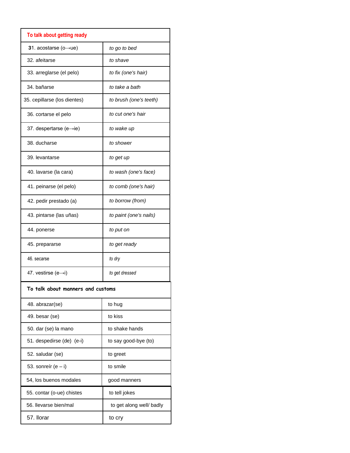| To talk about getting ready          |                          |  |
|--------------------------------------|--------------------------|--|
| 31. acostarse $(o \rightarrow ue)$   | to go to bed             |  |
| 32. afeitarse                        | to shave                 |  |
| 33. arreglarse (el pelo)             | to fix (one's hair)      |  |
| 34. bañarse                          | to take a bath           |  |
| 35. cepillarse (los dientes)         | to brush (one's teeth)   |  |
| 36. cortarse el pelo                 | to cut one's hair        |  |
| 37. despertarse (e $\rightarrow$ ie) | to wake up               |  |
| 38. ducharse                         | to shower                |  |
| 39. levantarse                       | to get up                |  |
| 40. lavarse (la cara)                | to wash (one's face)     |  |
| 41. peinarse (el pelo)               | to comb (one's hair)     |  |
| 42. pedir prestado (a)               | to borrow (from)         |  |
| 43. pintarse (las uñas)              | to paint (one's nails)   |  |
| 44. ponerse                          | to put on                |  |
| 45. prepararse                       | to get ready             |  |
| 46. secarse                          | to dry                   |  |
| 47. vestirse (e→i)                   | to get dressed           |  |
| To talk about manners and customs    |                          |  |
| 48. abrazar(se)                      | to hug                   |  |
| 49. besar (se)                       | to kiss                  |  |
| 50. dar (se) la mano                 | to shake hands           |  |
| 51. despedirse (de) (e-i)            | to say good-bye (to)     |  |
| 52. saludar (se)                     | to greet                 |  |
| 53. sonreír (e $-$ i)                | to smile                 |  |
| 54, los buenos modales               | good manners             |  |
| 55. contar (o-ue) chistes            | to tell jokes            |  |
| 56. Ilevarse bien/mal                | to get along well/ badly |  |
| 57. Ilorar                           | to cry                   |  |